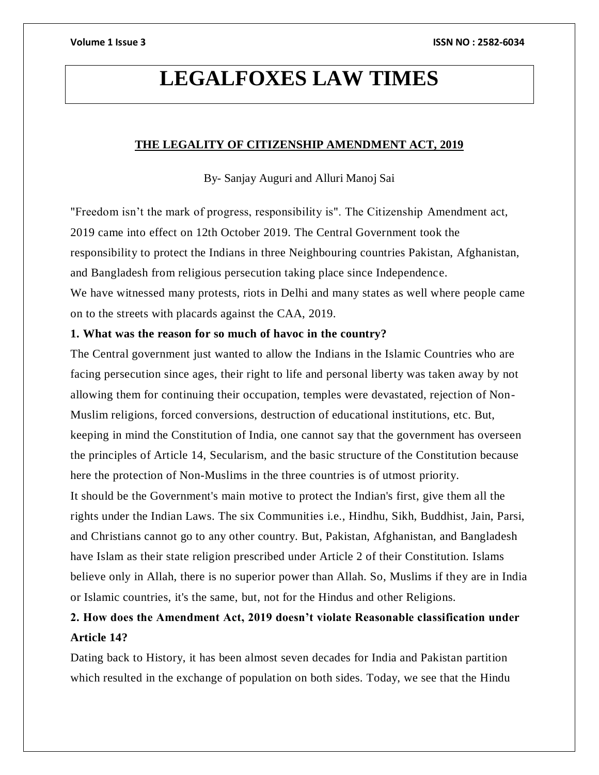# **LEGALFOXES LAW TIMES**

# **THE LEGALITY OF CITIZENSHIP AMENDMENT ACT, 2019**

By- Sanjay Auguri and Alluri Manoj Sai

"Freedom isn't the mark of progress, responsibility is". The Citizenship Amendment act, 2019 came into effect on 12th October 2019. The Central Government took the responsibility to protect the Indians in three Neighbouring countries Pakistan, Afghanistan, and Bangladesh from religious persecution taking place since Independence.

We have witnessed many protests, riots in Delhi and many states as well where people came on to the streets with placards against the CAA, 2019.

# **1. What was the reason for so much of havoc in the country?**

The Central government just wanted to allow the Indians in the Islamic Countries who are facing persecution since ages, their right to life and personal liberty was taken away by not allowing them for continuing their occupation, temples were devastated, rejection of Non-Muslim religions, forced conversions, destruction of educational institutions, etc. But, keeping in mind the Constitution of India, one cannot say that the government has overseen the principles of Article 14, Secularism, and the basic structure of the Constitution because here the protection of Non-Muslims in the three countries is of utmost priority.

It should be the Government's main motive to protect the Indian's first, give them all the rights under the Indian Laws. The six Communities i.e., Hindhu, Sikh, Buddhist, Jain, Parsi, and Christians cannot go to any other country. But, Pakistan, Afghanistan, and Bangladesh have Islam as their state religion prescribed under Article 2 of their Constitution. Islams believe only in Allah, there is no superior power than Allah. So, Muslims if they are in India or Islamic countries, it's the same, but, not for the Hindus and other Religions.

# **2. How does the Amendment Act, 2019 doesn't violate Reasonable classification under Article 14?**

Dating back to History, it has been almost seven decades for India and Pakistan partition which resulted in the exchange of population on both sides. Today, we see that the Hindu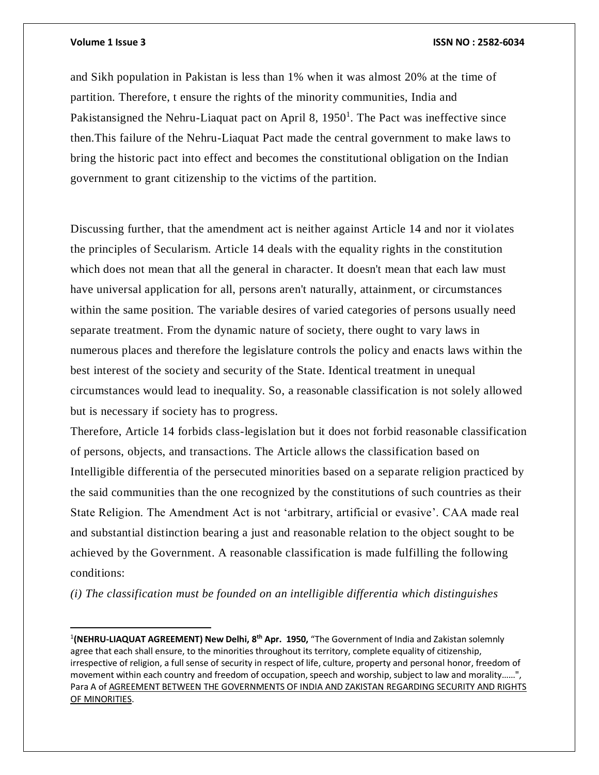$\overline{\phantom{a}}$ 

and Sikh population in Pakistan is less than 1% when it was almost 20% at the time of partition. Therefore, t ensure the rights of the minority communities, India and Pakistansigned the Nehru-Liaquat pact on April 8, 1950<sup>1</sup>. The Pact was ineffective since then.This failure of the Nehru-Liaquat Pact made the central government to make laws to bring the historic pact into effect and becomes the constitutional obligation on the Indian government to grant citizenship to the victims of the partition.

Discussing further, that the amendment act is neither against Article 14 and nor it violates the principles of Secularism. Article 14 deals with the equality rights in the constitution which does not mean that all the general in character. It doesn't mean that each law must have universal application for all, persons aren't naturally, attainment, or circumstances within the same position. The variable desires of varied categories of persons usually need separate treatment. From the dynamic nature of society, there ought to vary laws in numerous places and therefore the legislature controls the policy and enacts laws within the best interest of the society and security of the State. Identical treatment in unequal circumstances would lead to inequality. So, a reasonable classification is not solely allowed but is necessary if society has to progress.

Therefore, Article 14 forbids class-legislation but it does not forbid reasonable classification of persons, objects, and transactions. The Article allows the classification based on Intelligible differentia of the persecuted minorities based on a separate religion practiced by the said communities than the one recognized by the constitutions of such countries as their State Religion. The Amendment Act is not 'arbitrary, artificial or evasive'. CAA made real and substantial distinction bearing a just and reasonable relation to the object sought to be achieved by the Government. A reasonable classification is made fulfilling the following conditions:

*(i) The classification must be founded on an intelligible differentia which distinguishes* 

<sup>1</sup> **(NEHRU-LIAQUAT AGREEMENT) New Delhi, 8th Apr. 1950,** "The Government of India and Zakistan solemnly agree that each shall ensure, to the minorities throughout its territory, complete equality of citizenship, irrespective of religion, a full sense of security in respect of life, culture, property and personal honor, freedom of movement within each country and freedom of occupation, speech and worship, subject to law and morality……", Para A of AGREEMENT BETWEEN THE GOVERNMENTS OF INDIA AND ZAKISTAN REGARDING SECURITY AND RIGHTS OF MINORITIES.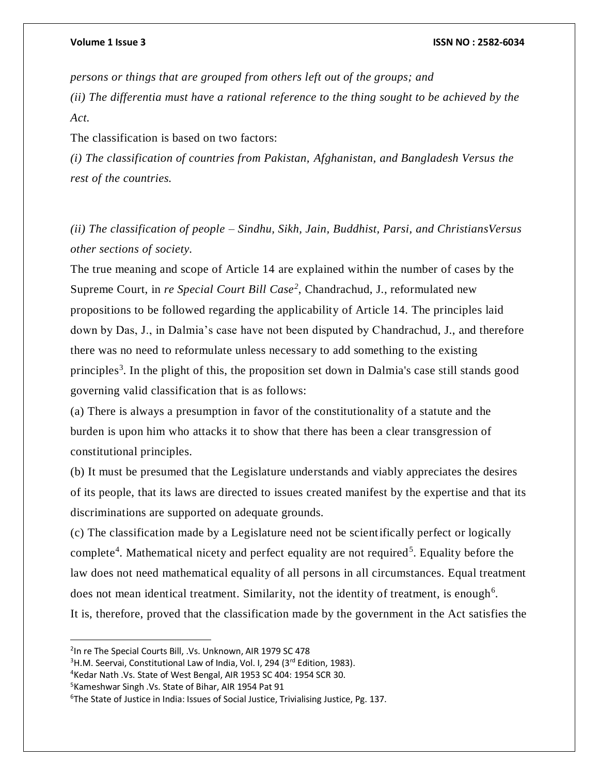*persons or things that are grouped from others left out of the groups; and (ii) The differentia must have a rational reference to the thing sought to be achieved by the Act.*

The classification is based on two factors:

*(i) The classification of countries from Pakistan, Afghanistan, and Bangladesh Versus the rest of the countries.*

*(ii) The classification of people – Sindhu, Sikh, Jain, Buddhist, Parsi, and ChristiansVersus other sections of society.*

The true meaning and scope of Article 14 are explained within the number of cases by the Supreme Court, in *re Special Court Bill Case<sup>2</sup>* , Chandrachud, J., reformulated new propositions to be followed regarding the applicability of Article 14. The principles laid down by Das, J., in Dalmia's case have not been disputed by Chandrachud, J., and therefore there was no need to reformulate unless necessary to add something to the existing principles<sup>3</sup>. In the plight of this, the proposition set down in Dalmia's case still stands good governing valid classification that is as follows:

(a) There is always a presumption in favor of the constitutionality of a statute and the burden is upon him who attacks it to show that there has been a clear transgression of constitutional principles.

(b) It must be presumed that the Legislature understands and viably appreciates the desires of its people, that its laws are directed to issues created manifest by the expertise and that its discriminations are supported on adequate grounds.

(c) The classification made by a Legislature need not be scientifically perfect or logically complete<sup>4</sup>. Mathematical nicety and perfect equality are not required<sup>5</sup>. Equality before the law does not need mathematical equality of all persons in all circumstances. Equal treatment does not mean identical treatment. Similarity, not the identity of treatment, is enough<sup>6</sup>. It is, therefore, proved that the classification made by the government in the Act satisfies the

 $\overline{\phantom{a}}$ 

<sup>&</sup>lt;sup>2</sup>In re The Special Courts Bill, .Vs. Unknown, AIR 1979 SC 478

<sup>&</sup>lt;sup>3</sup>H.M. Seervai, Constitutional Law of India, Vol. I, 294 (3<sup>rd</sup> Edition, 1983).

<sup>4</sup>Kedar Nath .Vs. State of West Bengal, AIR 1953 SC 404: 1954 SCR 30.

<sup>5</sup>Kameshwar Singh .Vs. State of Bihar, AIR 1954 Pat 91

<sup>&</sup>lt;sup>6</sup>The State of Justice in India: Issues of Social Justice, Trivialising Justice, Pg. 137.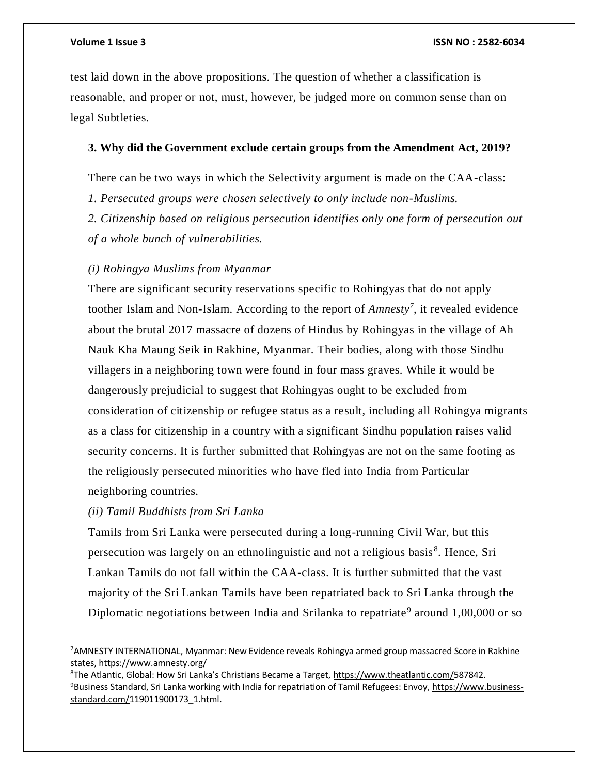### **Volume 1 Issue 3 ISSN NO : 2582-6034**

test laid down in the above propositions. The question of whether a classification is reasonable, and proper or not, must, however, be judged more on common sense than on legal Subtleties.

### **3. Why did the Government exclude certain groups from the Amendment Act, 2019?**

There can be two ways in which the Selectivity argument is made on the CAA-class:

*1. Persecuted groups were chosen selectively to only include non-Muslims.*

*2. Citizenship based on religious persecution identifies only one form of persecution out of a whole bunch of vulnerabilities.*

## *(i) Rohingya Muslims from Myanmar*

There are significant security reservations specific to Rohingyas that do not apply toother Islam and Non-Islam. According to the report of *Amnesty<sup>7</sup>* , it revealed evidence about the brutal 2017 massacre of dozens of Hindus by Rohingyas in the village of Ah Nauk Kha Maung Seik in Rakhine, Myanmar. Their bodies, along with those Sindhu villagers in a neighboring town were found in four mass graves. While it would be dangerously prejudicial to suggest that Rohingyas ought to be excluded from consideration of citizenship or refugee status as a result, including all Rohingya migrants as a class for citizenship in a country with a significant Sindhu population raises valid security concerns. It is further submitted that Rohingyas are not on the same footing as the religiously persecuted minorities who have fled into India from Particular neighboring countries.

# *(ii) Tamil Buddhists from Sri Lanka*

 $\overline{\phantom{a}}$ 

Tamils from Sri Lanka were persecuted during a long-running Civil War, but this persecution was largely on an ethnolinguistic and not a religious basis<sup>8</sup>. Hence, Sri Lankan Tamils do not fall within the CAA-class. It is further submitted that the vast majority of the Sri Lankan Tamils have been repatriated back to Sri Lanka through the Diplomatic negotiations between India and Srilanka to repatriate<sup>9</sup> around 1,00,000 or so

<sup>&</sup>lt;sup>7</sup> AMNESTY INTERNATIONAL, Myanmar: New Evidence reveals Rohingya armed group massacred Score in Rakhine states,<https://www.amnesty.org/>

<sup>8</sup>The Atlantic, Global: How Sri Lanka's Christians Became a Target, [https://www.theatlantic.com/5](https://www.theatlantic.com/)87842. 9Business Standard, Sri Lanka working with India for repatriation of Tamil Refugees: Envoy[, https://www.business](https://www.business-standard.com/)[standard.com/1](https://www.business-standard.com/)19011900173\_1.html.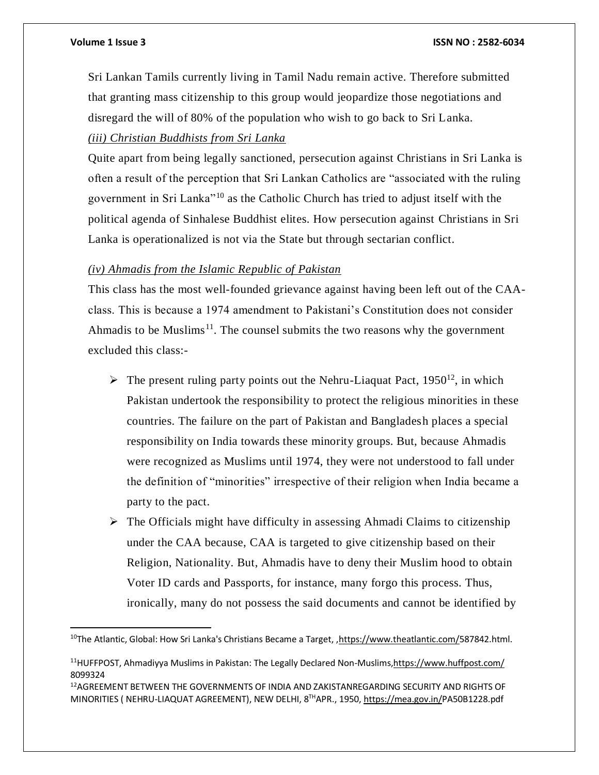$\overline{\phantom{a}}$ 

### **Volume 1 Issue 3 ISSN NO : 2582-6034**

Sri Lankan Tamils currently living in Tamil Nadu remain active. Therefore submitted that granting mass citizenship to this group would jeopardize those negotiations and disregard the will of 80% of the population who wish to go back to Sri Lanka. *(iii) Christian Buddhists from Sri Lanka*

Quite apart from being legally sanctioned, persecution against Christians in Sri Lanka is often a result of the perception that Sri Lankan Catholics are "associated with the ruling government in Sri Lanka"<sup>10</sup> as the Catholic Church has tried to adjust itself with the political agenda of Sinhalese Buddhist elites. How persecution against Christians in Sri Lanka is operationalized is not via the State but through sectarian conflict.

## *(iv) Ahmadis from the Islamic Republic of Pakistan*

This class has the most well-founded grievance against having been left out of the CAAclass. This is because a 1974 amendment to Pakistani's Constitution does not consider Ahmadis to be Muslims<sup>11</sup>. The counsel submits the two reasons why the government excluded this class:-

- $\triangleright$  The present ruling party points out the Nehru-Liaquat Pact, 1950<sup>12</sup>, in which Pakistan undertook the responsibility to protect the religious minorities in these countries. The failure on the part of Pakistan and Bangladesh places a special responsibility on India towards these minority groups. But, because Ahmadis were recognized as Muslims until 1974, they were not understood to fall under the definition of "minorities" irrespective of their religion when India became a party to the pact.
- $\triangleright$  The Officials might have difficulty in assessing Ahmadi Claims to citizenship under the CAA because, CAA is targeted to give citizenship based on their Religion, Nationality. But, Ahmadis have to deny their Muslim hood to obtain Voter ID cards and Passports, for instance, many forgo this process. Thus, ironically, many do not possess the said documents and cannot be identified by

<sup>&</sup>lt;sup>10</sup>The Atlantic, Global: How Sri Lanka's Christians Became a Target, [,https://www.theatlantic.com/5](https://www.theatlantic.com/)87842.html.

<sup>11</sup>HUFFPOST, Ahmadiyya Muslims in Pakistan: The Legally Declared Non-Muslims[,https://www.huffpost.com/](https://www.huffpost.com/) 8099324

<sup>12</sup>AGREEMENT BETWEEN THE GOVERNMENTS OF INDIA AND ZAKISTANREGARDING SECURITY AND RIGHTS OF MINORITIES ( NEHRU-LIAQUAT AGREEMENT), NEW DELHI, 8THAPR., 1950[, https://mea.gov.in/P](https://mea.gov.in/)A50B1228.pdf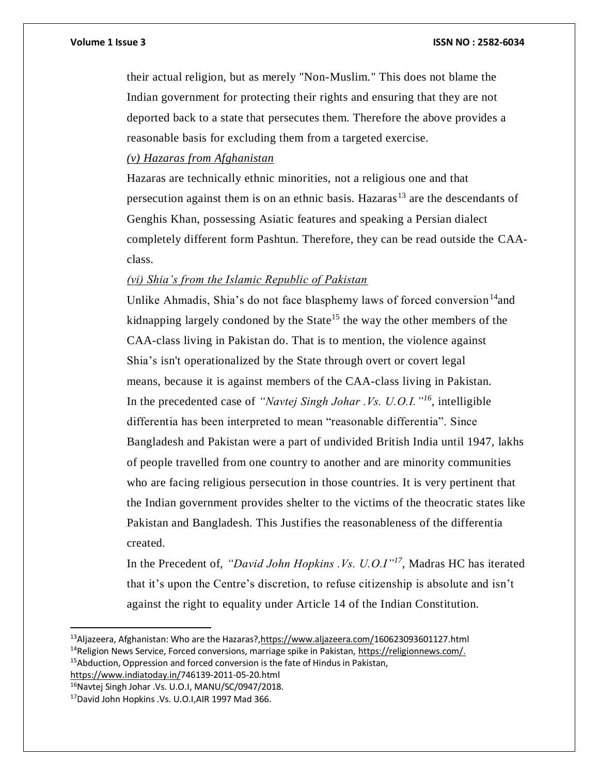### **Volume 1 Issue 3 ISSN NO : 2582-6034**

their actual religion, but as merely "Non-Muslim." This does not blame the Indian government for protecting their rights and ensuring that they are not deported back to a state that persecutes them. Therefore the above provides a reasonable basis for excluding them from a targeted exercise.

# *(v) Hazaras from Afghanistan*

Hazaras are technically ethnic minorities, not a religious one and that persecution against them is on an ethnic basis. Hazaras<sup>13</sup> are the descendants of Genghis Khan, possessing Asiatic features and speaking a Persian dialect completely different form Pashtun. Therefore, they can be read outside the CAAclass.

# *(vi) Shia's from the Islamic Republic of Pakistan*

Unlike Ahmadis, Shia's do not face blasphemy laws of forced conversion  $14$  and kidnapping largely condoned by the State<sup>15</sup> the way the other members of the CAA-class living in Pakistan do. That is to mention, the violence against Shia's isn't operationalized by the State through overt or covert legal means, because it is against members of the CAA-class living in Pakistan. In the precedented case of *"Navtej Singh Johar .Vs. U.O.I."<sup>16</sup>*, intelligible differentia has been interpreted to mean "reasonable differentia". Since Bangladesh and Pakistan were a part of undivided British India until 1947, lakhs of people travelled from one country to another and are minority communities who are facing religious persecution in those countries. It is very pertinent that the Indian government provides shelter to the victims of the theocratic states like Pakistan and Bangladesh. This Justifies the reasonableness of the differentia created.

In the Precedent of, *"David John Hopkins .Vs. U.O.I"<sup>17</sup>*, Madras HC has iterated that it's upon the Centre's discretion, to refuse citizenship is absolute and isn't against the right to equality under Article 14 of the Indian Constitution.

[https://www.indiatoday.in/7](https://www.indiatoday.in/)46139-2011-05-20.html

 $\overline{\phantom{a}}$ 

<sup>&</sup>lt;sup>13</sup>Aljazeera, Afghanistan: Who are the Hazaras?[,https://www.aljazeera.com/1](https://www.aljazeera.com/)60623093601127.html

<sup>&</sup>lt;sup>14</sup>Religion News Service, Forced conversions, marriage spike in Pakistan, [https://religionnews.com/.](https://religionnews.com/)  $15$ Abduction, Oppression and forced conversion is the fate of Hindus in Pakistan,

<sup>16</sup>Navtej Singh Johar .Vs. U.O.I, MANU/SC/0947/2018.

<sup>17</sup>David John Hopkins .Vs. U.O.I,AIR 1997 Mad 366.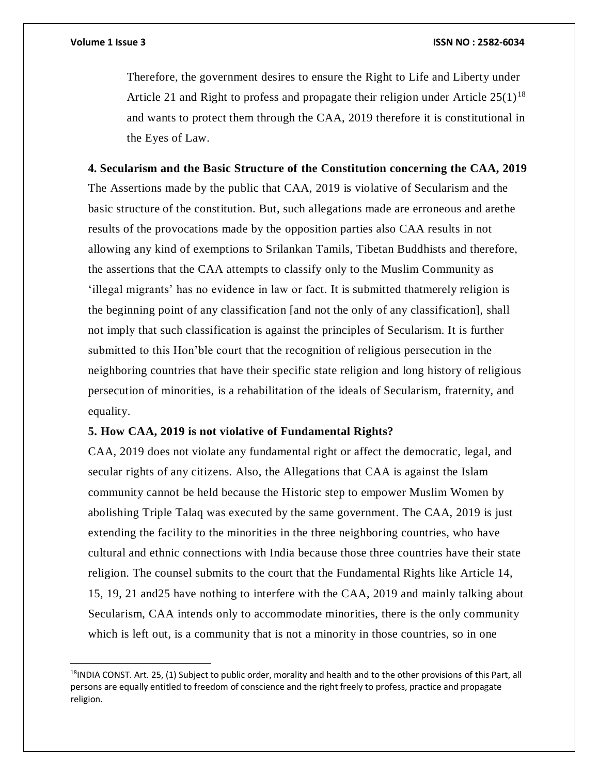$\overline{a}$ 

Therefore, the government desires to ensure the Right to Life and Liberty under Article 21 and Right to profess and propagate their religion under Article  $25(1)^{18}$ and wants to protect them through the CAA, 2019 therefore it is constitutional in the Eyes of Law.

**4. Secularism and the Basic Structure of the Constitution concerning the CAA, 2019** The Assertions made by the public that CAA, 2019 is violative of Secularism and the basic structure of the constitution. But, such allegations made are erroneous and arethe results of the provocations made by the opposition parties also CAA results in not allowing any kind of exemptions to Srilankan Tamils, Tibetan Buddhists and therefore, the assertions that the CAA attempts to classify only to the Muslim Community as 'illegal migrants' has no evidence in law or fact. It is submitted thatmerely religion is the beginning point of any classification [and not the only of any classification], shall not imply that such classification is against the principles of Secularism. It is further submitted to this Hon'ble court that the recognition of religious persecution in the neighboring countries that have their specific state religion and long history of religious persecution of minorities, is a rehabilitation of the ideals of Secularism, fraternity, and equality.

### **5. How CAA, 2019 is not violative of Fundamental Rights?**

CAA, 2019 does not violate any fundamental right or affect the democratic, legal, and secular rights of any citizens. Also, the Allegations that CAA is against the Islam community cannot be held because the Historic step to empower Muslim Women by abolishing Triple Talaq was executed by the same government. The CAA, 2019 is just extending the facility to the minorities in the three neighboring countries, who have cultural and ethnic connections with India because those three countries have their state religion. The counsel submits to the court that the Fundamental Rights like Article 14, 15, 19, 21 and25 have nothing to interfere with the CAA, 2019 and mainly talking about Secularism, CAA intends only to accommodate minorities, there is the only community which is left out, is a community that is not a minority in those countries, so in one

 $18$ INDIA CONST. Art. 25, (1) Subject to public order, morality and health and to the other provisions of this Part, all persons are equally entitled to freedom of conscience and the right freely to profess, practice and propagate religion.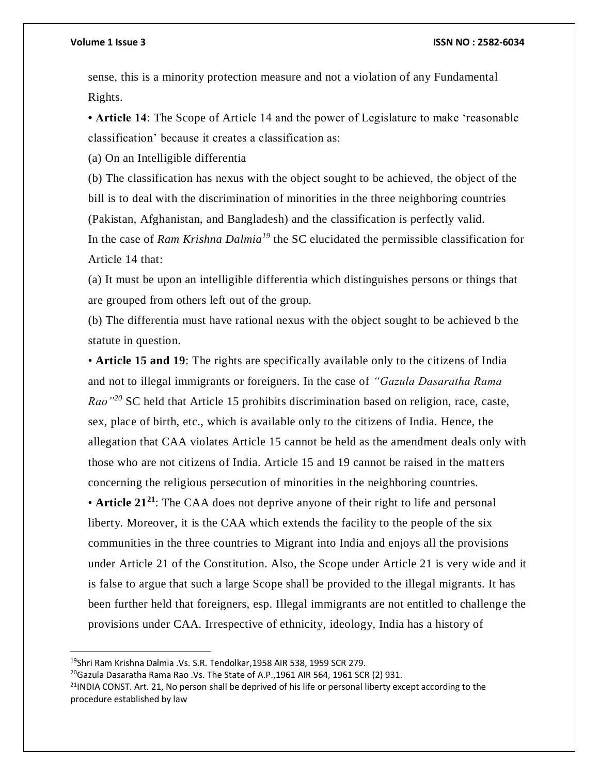### **Volume 1 Issue 3 ISSN NO : 2582-6034**

sense, this is a minority protection measure and not a violation of any Fundamental Rights.

**• Article 14**: The Scope of Article 14 and the power of Legislature to make 'reasonable classification' because it creates a classification as:

(a) On an Intelligible differentia

(b) The classification has nexus with the object sought to be achieved, the object of the bill is to deal with the discrimination of minorities in the three neighboring countries (Pakistan, Afghanistan, and Bangladesh) and the classification is perfectly valid. In the case of *Ram Krishna Dalmia<sup>19</sup>* the SC elucidated the permissible classification for Article 14 that:

(a) It must be upon an intelligible differentia which distinguishes persons or things that are grouped from others left out of the group.

(b) The differentia must have rational nexus with the object sought to be achieved b the statute in question.

• **Article 15 and 19**: The rights are specifically available only to the citizens of India and not to illegal immigrants or foreigners. In the case of *"Gazula Dasaratha Rama Rao"<sup>20</sup>* SC held that Article 15 prohibits discrimination based on religion, race, caste, sex, place of birth, etc., which is available only to the citizens of India. Hence, the allegation that CAA violates Article 15 cannot be held as the amendment deals only with those who are not citizens of India. Article 15 and 19 cannot be raised in the matt ers concerning the religious persecution of minorities in the neighboring countries.

• **Article 21<sup>21</sup>**: The CAA does not deprive anyone of their right to life and personal liberty. Moreover, it is the CAA which extends the facility to the people of the six communities in the three countries to Migrant into India and enjoys all the provisions under Article 21 of the Constitution. Also, the Scope under Article 21 is very wide and it is false to argue that such a large Scope shall be provided to the illegal migrants. It has been further held that foreigners, esp. Illegal immigrants are not entitled to challenge the provisions under CAA. Irrespective of ethnicity, ideology, India has a history of

 $\overline{a}$ 

<sup>19</sup>Shri Ram Krishna Dalmia .Vs. S.R. Tendolkar,1958 AIR 538, 1959 SCR 279.

<sup>&</sup>lt;sup>20</sup>Gazula Dasaratha Rama Rao .Vs. The State of A.P., 1961 AIR 564, 1961 SCR (2) 931.

 $^{21}$ INDIA CONST. Art. 21, No person shall be deprived of his life or personal liberty except according to the procedure established by law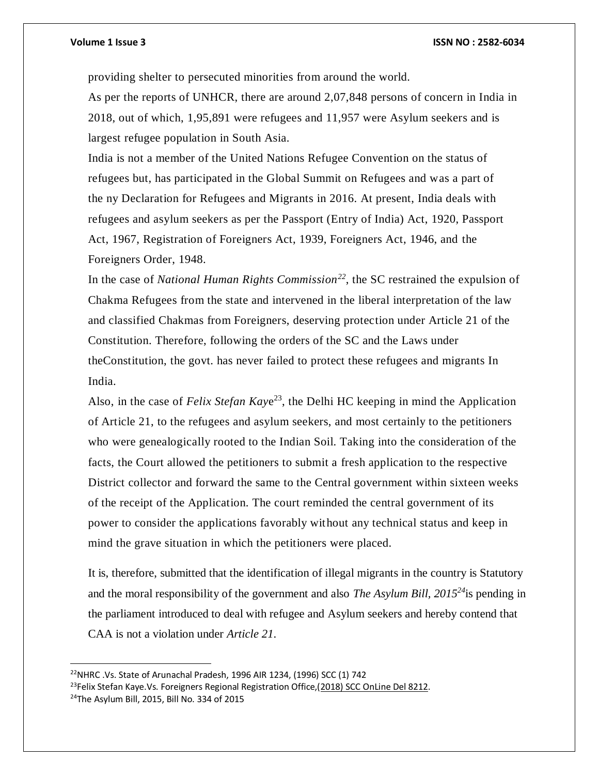$\overline{a}$ 

### **Volume 1 Issue 3 ISSN NO : 2582-6034**

providing shelter to persecuted minorities from around the world.

As per the reports of UNHCR, there are around 2,07,848 persons of concern in India in 2018, out of which, 1,95,891 were refugees and 11,957 were Asylum seekers and is largest refugee population in South Asia.

India is not a member of the United Nations Refugee Convention on the status of refugees but, has participated in the Global Summit on Refugees and was a part of the ny Declaration for Refugees and Migrants in 2016. At present, India deals with refugees and asylum seekers as per the Passport (Entry of India) Act, 1920, Passport Act, 1967, Registration of Foreigners Act, 1939, Foreigners Act, 1946, and the Foreigners Order, 1948.

In the case of *National Human Rights Commission<sup>22</sup>*, the SC restrained the expulsion of Chakma Refugees from the state and intervened in the liberal interpretation of the law and classified Chakmas from Foreigners, deserving protection under Article 21 of the Constitution. Therefore, following the orders of the SC and the Laws under theConstitution, the govt. has never failed to protect these refugees and migrants In India.

Also, in the case of *Felix Stefan Kay*e <sup>23</sup>, the Delhi HC keeping in mind the Application of Article 21, to the refugees and asylum seekers, and most certainly to the petitioners who were genealogically rooted to the Indian Soil. Taking into the consideration of the facts, the Court allowed the petitioners to submit a fresh application to the respective District collector and forward the same to the Central government within sixteen weeks of the receipt of the Application. The court reminded the central government of its power to consider the applications favorably without any technical status and keep in mind the grave situation in which the petitioners were placed.

It is, therefore, submitted that the identification of illegal migrants in the country is Statutory and the moral responsibility of the government and also *The Asylum Bill, 2015<sup>24</sup>*is pending in the parliament introduced to deal with refugee and Asylum seekers and hereby contend that CAA is not a violation under *Article 21*.

<sup>22</sup>NHRC .Vs. State of Arunachal Pradesh, 1996 AIR 1234, (1996) SCC (1) 742  $^{23}$ Felix Stefan Kaye. Vs. Foreigners Regional Registration Office,(2018) SCC [OnLine](http://scconline.com/DocumentLink/BJKSbgL3) Del 8212. <sup>24</sup>The Asylum Bill, 2015, Bill No. 334 of 2015